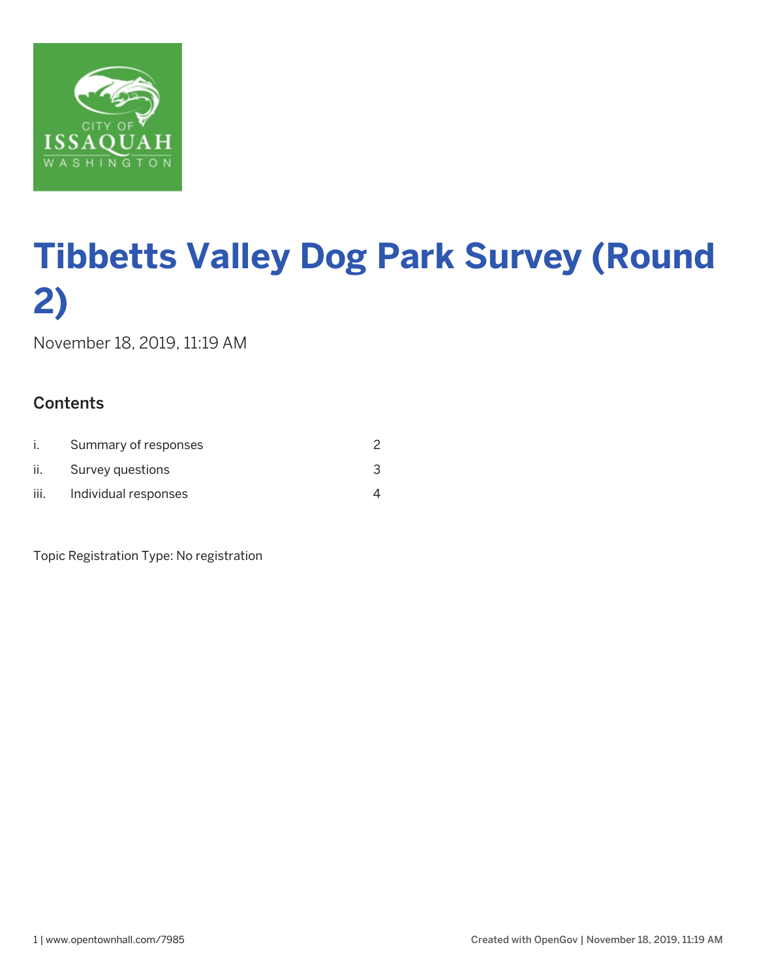

November 18, 2019, 11:19 AM

## **Contents**

|      | Summary of responses |  |
|------|----------------------|--|
| II.  | Survey questions     |  |
| III. | Individual responses |  |

Topic Registration Type: No registration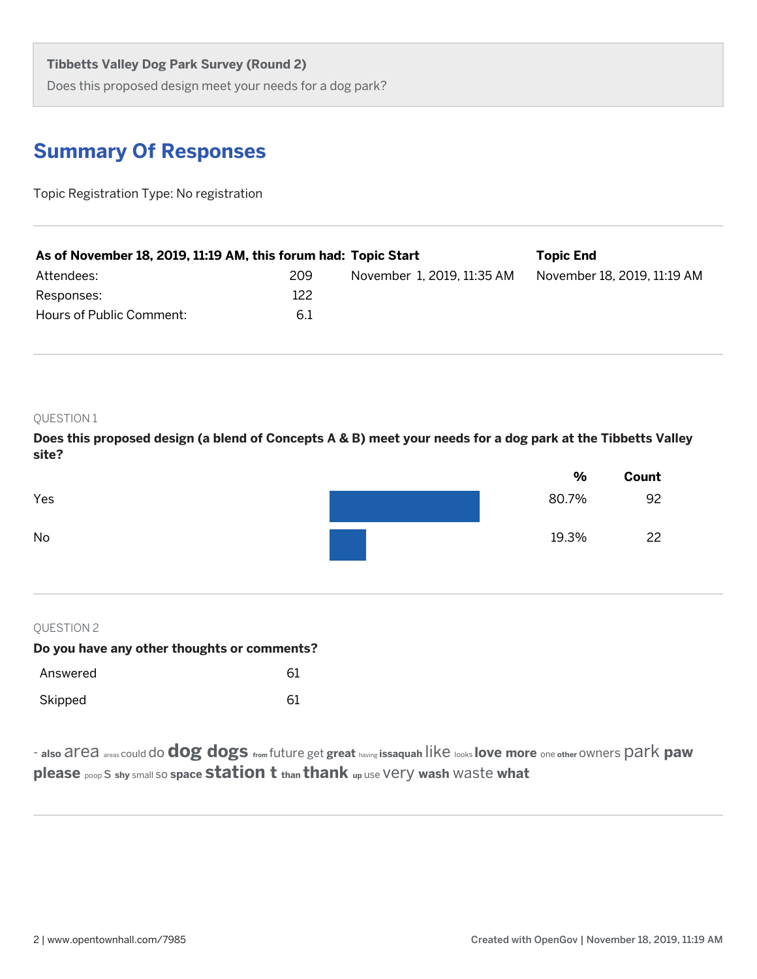Does this proposed design meet your needs for a dog park?

## **Summary Of Responses**

Topic Registration Type: No registration

| As of November 18, 2019, 11:19 AM, this forum had: Topic Start |     |                            | <b>Topic End</b>            |
|----------------------------------------------------------------|-----|----------------------------|-----------------------------|
| Attendees:                                                     | 209 | November 1, 2019, 11:35 AM | November 18, 2019, 11:19 AM |
| Responses:                                                     | 122 |                            |                             |
| Hours of Public Comment:                                       | 6.1 |                            |                             |

#### QUESTION 1

**Does this proposed design (a blend of Concepts A & B) meet your needs for a dog park at the Tibbetts Valley site?**



## QUESTION 2

| Do you have any other thoughts or comments? |    |  |  |
|---------------------------------------------|----|--|--|
| Answered                                    | 61 |  |  |
| Skipped                                     | 61 |  |  |

- **also** area areas could do **dog dogs from** future get **great** having **issaquah** like looks **love more** one **other** owners park **paw please** poop s **shy** small so **space station t than thank up** use very **wash** waste **what**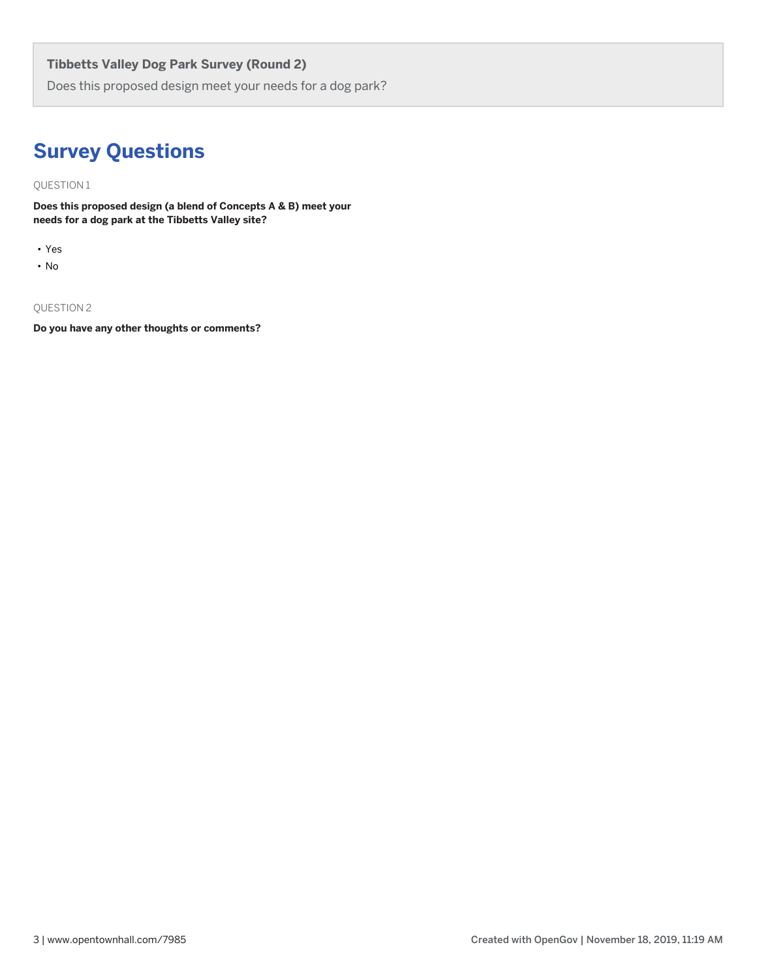Does this proposed design meet your needs for a dog park?

## **Survey Questions**

QUESTION 1

**Does this proposed design (a blend of Concepts A & B) meet your needs for a dog park at the Tibbetts Valley site?**

- Yes
- No

### QUESTION 2

**Do you have any other thoughts or comments?**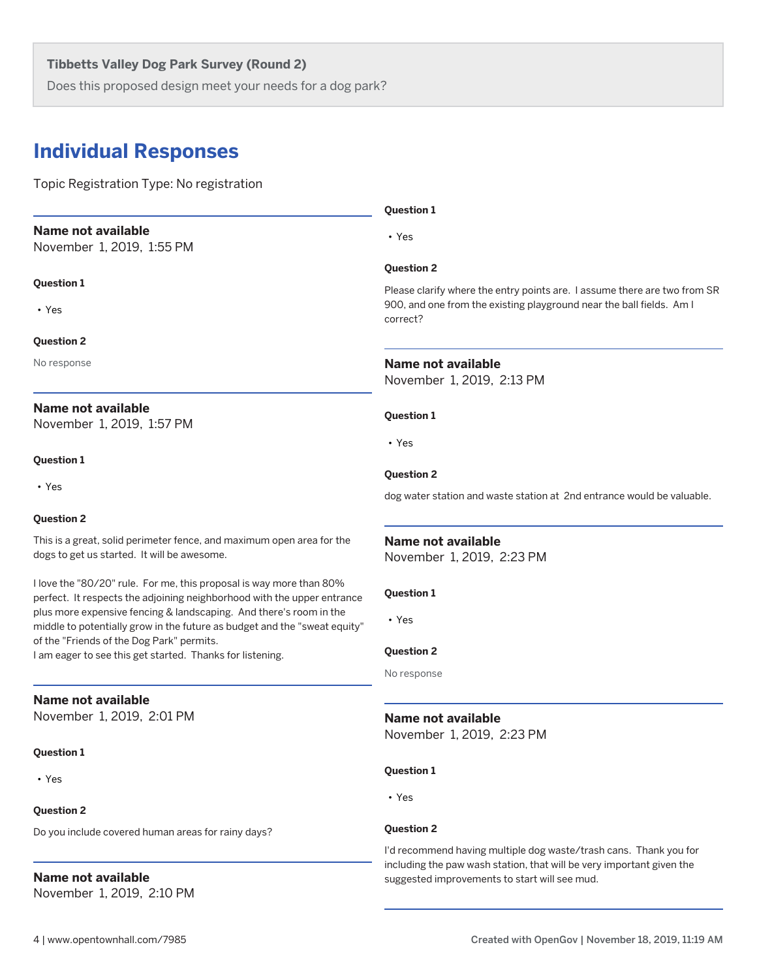Does this proposed design meet your needs for a dog park?

## **Individual Responses**

Topic Registration Type: No registration

## **Name not available** November 1, 2019, 1:55 PM

**Question 1**

• Yes

#### **Question 2**

No response

## **Name not available**

November 1, 2019, 1:57 PM

#### **Question 1**

• Yes

#### **Question 2**

This is a great, solid perimeter fence, and maximum open area for the dogs to get us started. It will be awesome.

I love the "80/20" rule. For me, this proposal is way more than 80% perfect. It respects the adjoining neighborhood with the upper entrance plus more expensive fencing & landscaping. And there's room in the middle to potentially grow in the future as budget and the "sweat equity" of the "Friends of the Dog Park" permits.

I am eager to see this get started. Thanks for listening.

## **Name not available**

November 1, 2019, 2:01 PM

#### **Question 1**

• Yes

### **Question 2**

Do you include covered human areas for rainy days?

## **Name not available**

November 1, 2019, 2:10 PM

#### **Question 1**

• Yes

#### **Question 2**

Please clarify where the entry points are. I assume there are two from SR 900, and one from the existing playground near the ball fields. Am I correct?

#### **Name not available**

November 1, 2019, 2:13 PM

#### **Question 1**

• Yes

#### **Question 2**

dog water station and waste station at 2nd entrance would be valuable.

#### **Name not available**

November 1, 2019, 2:23 PM

#### **Question 1**

• Yes

#### **Question 2**

No response

## **Name not available**

November 1, 2019, 2:23 PM

#### **Question 1**

• Yes

#### **Question 2**

I'd recommend having multiple dog waste/trash cans. Thank you for including the paw wash station, that will be very important given the suggested improvements to start will see mud.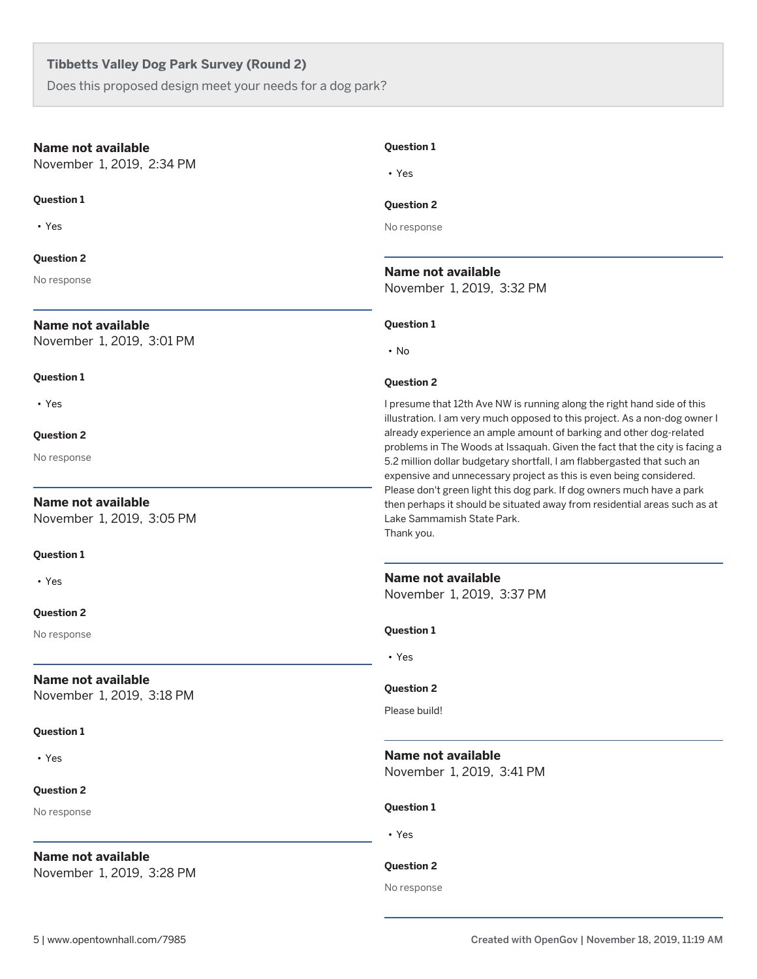Does this proposed design meet your needs for a dog park?

#### **Name not available**

November 1, 2019, 2:34 PM

#### **Question 1**

• Yes

#### **Question 2**

No response

## **Name not available**

November 1, 2019, 3:01 PM

#### **Question 1**

• Yes

#### **Question 2**

No response

## **Name not available**

November 1, 2019, 3:05 PM

#### **Question 1**

• Yes

#### **Question 2**

No response

## **Name not available**

November 1, 2019, 3:18 PM

#### **Question 1**

• Yes

#### **Question 2**

No response

## **Name not available**

November 1, 2019, 3:28 PM

#### **Question 1**

• Yes

#### **Question 2**

No response

## **Name not available**

November 1, 2019, 3:32 PM

#### **Question 1**

• No

#### **Question 2**

I presume that 12th Ave NW is running along the right hand side of this illustration. I am very much opposed to this project. As a non-dog owner I already experience an ample amount of barking and other dog-related problems in The Woods at Issaquah. Given the fact that the city is facing a 5.2 million dollar budgetary shortfall, I am flabbergasted that such an expensive and unnecessary project as this is even being considered. Please don't green light this dog park. If dog owners much have a park then perhaps it should be situated away from residential areas such as at Lake Sammamish State Park. Thank you.

## **Name not available**

November 1, 2019, 3:37 PM

**Question 1**

• Yes

#### **Question 2**

Please build!

## **Name not available**

November 1, 2019, 3:41 PM

#### **Question 1**

• Yes

## **Question 2**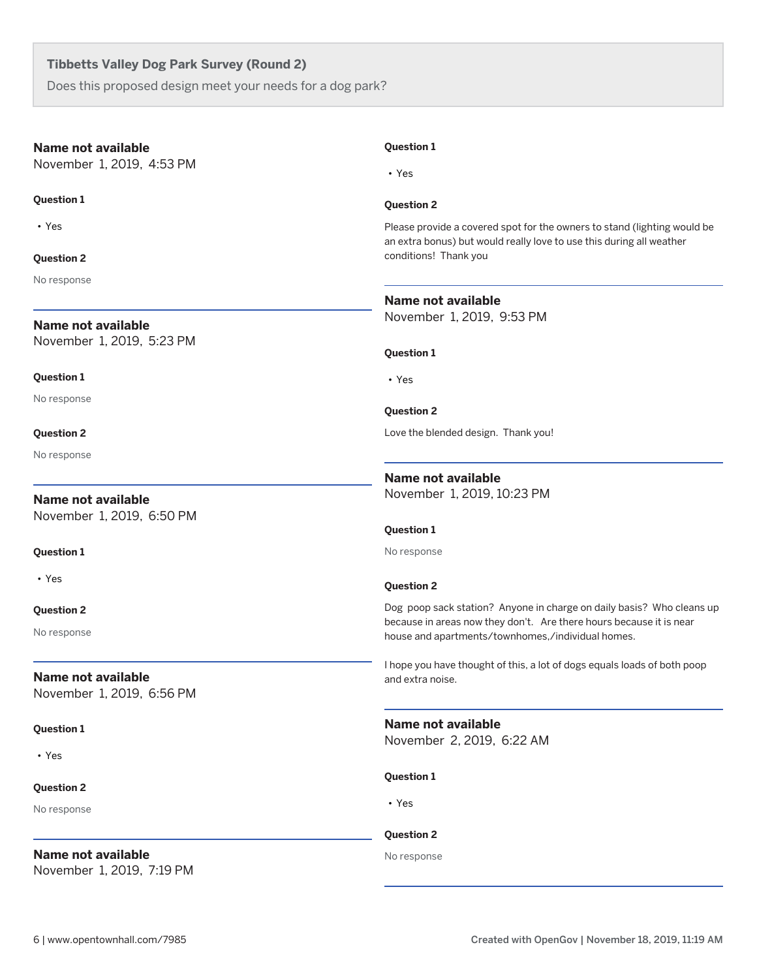Does this proposed design meet your needs for a dog park?

| Name not available                                     | <b>Question 1</b>                                                                                                                                |
|--------------------------------------------------------|--------------------------------------------------------------------------------------------------------------------------------------------------|
| November 1, 2019, 4:53 PM                              | $\cdot$ Yes                                                                                                                                      |
| <b>Question 1</b>                                      | <b>Question 2</b>                                                                                                                                |
| $\cdot$ Yes                                            | Please provide a covered spot for the owners to stand (lighting would be<br>an extra bonus) but would really love to use this during all weather |
| <b>Question 2</b>                                      | conditions! Thank you                                                                                                                            |
| No response                                            |                                                                                                                                                  |
|                                                        | Name not available                                                                                                                               |
| Name not available                                     | November 1, 2019, 9:53 PM                                                                                                                        |
| November 1, 2019, 5:23 PM                              | <b>Question 1</b>                                                                                                                                |
| <b>Question 1</b>                                      | $\cdot$ Yes                                                                                                                                      |
| No response                                            | <b>Question 2</b>                                                                                                                                |
| <b>Question 2</b>                                      | Love the blended design. Thank you!                                                                                                              |
| No response                                            |                                                                                                                                                  |
|                                                        | <b>Name not available</b>                                                                                                                        |
| <b>Name not available</b>                              | November 1, 2019, 10:23 PM                                                                                                                       |
| November 1, 2019, 6:50 PM                              |                                                                                                                                                  |
|                                                        | <b>Question 1</b>                                                                                                                                |
| <b>Question 1</b>                                      | No response                                                                                                                                      |
| • Yes                                                  | <b>Question 2</b>                                                                                                                                |
| <b>Question 2</b>                                      | Dog poop sack station? Anyone in charge on daily basis? Who cleans up                                                                            |
| No response                                            | because in areas now they don't. Are there hours because it is near<br>house and apartments/townhomes,/individual homes.                         |
|                                                        | I hope you have thought of this, a lot of dogs equals loads of both poop                                                                         |
| <b>Name not available</b><br>November 1, 2019, 6:56 PM | and extra noise.                                                                                                                                 |
| <b>Question 1</b>                                      | Name not available<br>November 2, 2019, 6:22 AM                                                                                                  |
| • Yes                                                  |                                                                                                                                                  |
|                                                        | <b>Question 1</b>                                                                                                                                |
| <b>Question 2</b>                                      |                                                                                                                                                  |
| No response                                            | • Yes                                                                                                                                            |
|                                                        | <b>Question 2</b>                                                                                                                                |
| <b>Name not available</b>                              | No response                                                                                                                                      |
| November 1, 2019, 7:19 PM                              |                                                                                                                                                  |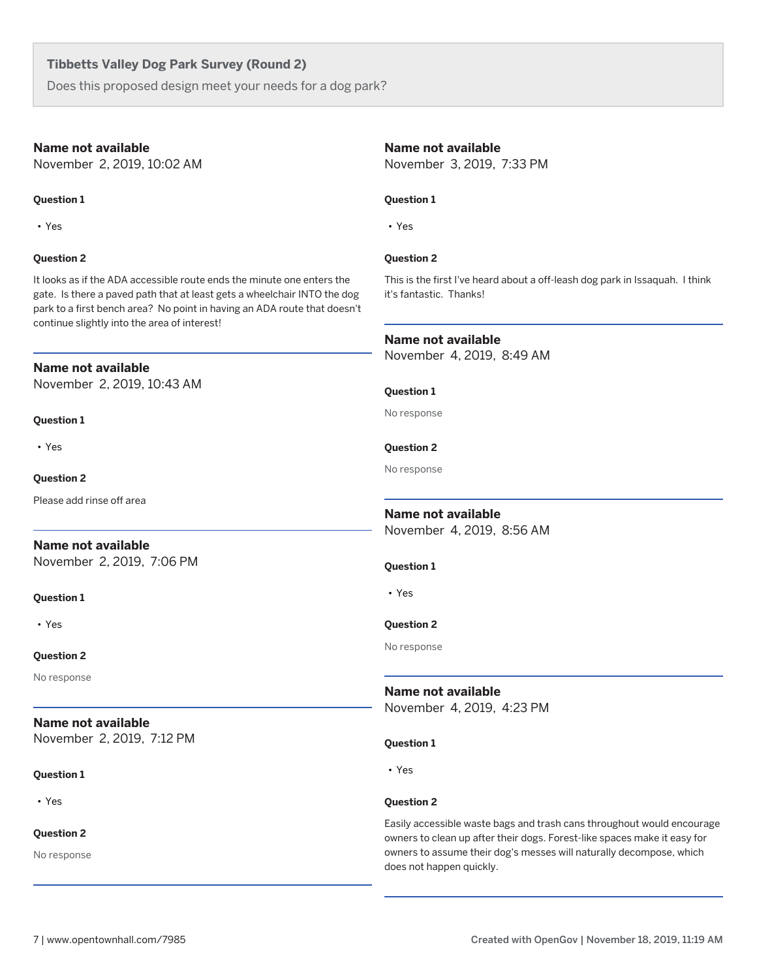Does this proposed design meet your needs for a dog park?

#### **Name not available**

November 2, 2019, 10:02 AM

#### **Question 1**

• Yes

#### **Question 2**

It looks as if the ADA accessible route ends the minute one enters the gate. Is there a paved path that at least gets a wheelchair INTO the dog park to a first bench area? No point in having an ADA route that doesn't continue slightly into the area of interest!

#### **Name not available**

November 2, 2019, 10:43 AM

#### **Question 1**

• Yes

#### **Question 2**

Please add rinse off area

## **Name not available**

November 2, 2019, 7:06 PM

#### **Question 1**

• Yes

#### **Question 2**

No response

## **Name not available**

November 2, 2019, 7:12 PM

#### **Question 1**

• Yes

#### **Question 2**

No response

#### **Name not available**

November 3, 2019, 7:33 PM

#### **Question 1**

• Yes

#### **Question 2**

This is the first I've heard about a off-leash dog park in Issaquah. I think it's fantastic. Thanks!

#### **Name not available**

November 4, 2019, 8:49 AM

#### **Question 1**

No response

### **Question 2**

No response

## **Name not available**

November 4, 2019, 8:56 AM

#### **Question 1**

• Yes

#### **Question 2**

No response

**Name not available** November 4, 2019, 4:23 PM

#### **Question 1**

• Yes

## **Question 2**

Easily accessible waste bags and trash cans throughout would encourage owners to clean up after their dogs. Forest-like spaces make it easy for owners to assume their dog's messes will naturally decompose, which does not happen quickly.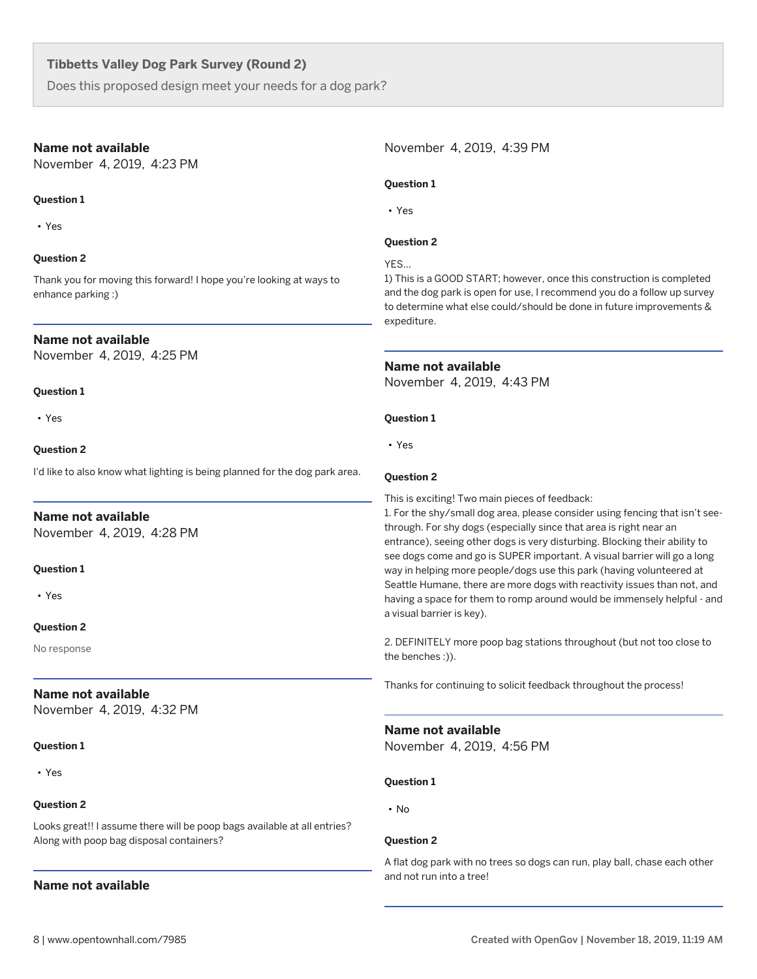Does this proposed design meet your needs for a dog park?

## **Name not available**

November 4, 2019, 4:23 PM

## **Question 1**

• Yes

## **Question 2**

Thank you for moving this forward! I hope you're looking at ways to enhance parking :)

## **Name not available**

November 4, 2019, 4:25 PM

## **Question 1**

• Yes

#### **Question 2**

I'd like to also know what lighting is being planned for the dog park area.

## **Name not available**

November 4, 2019, 4:28 PM

#### **Question 1**

• Yes

#### **Question 2**

No response

## **Name not available**

November 4, 2019, 4:32 PM

## **Question 1**

• Yes

## **Question 2**

Looks great!! I assume there will be poop bags available at all entries? Along with poop bag disposal containers?

## **Name not available**

November 4, 2019, 4:39 PM

## **Question 1**

• Yes

#### **Question 2**

YES...

1) This is a GOOD START; however, once this construction is completed and the dog park is open for use, I recommend you do a follow up survey to determine what else could/should be done in future improvements & expediture.

#### **Name not available**

November 4, 2019, 4:43 PM

#### **Question 1**

• Yes

#### **Question 2**

This is exciting! Two main pieces of feedback:

1. For the shy/small dog area, please consider using fencing that isn't seethrough. For shy dogs (especially since that area is right near an entrance), seeing other dogs is very disturbing. Blocking their ability to see dogs come and go is SUPER important. A visual barrier will go a long way in helping more people/dogs use this park (having volunteered at Seattle Humane, there are more dogs with reactivity issues than not, and having a space for them to romp around would be immensely helpful - and a visual barrier is key).

2. DEFINITELY more poop bag stations throughout (but not too close to the benches :)).

Thanks for continuing to solicit feedback throughout the process!

#### **Name not available**

November 4, 2019, 4:56 PM

#### **Question 1**

• No

#### **Question 2**

A flat dog park with no trees so dogs can run, play ball, chase each other and not run into a tree!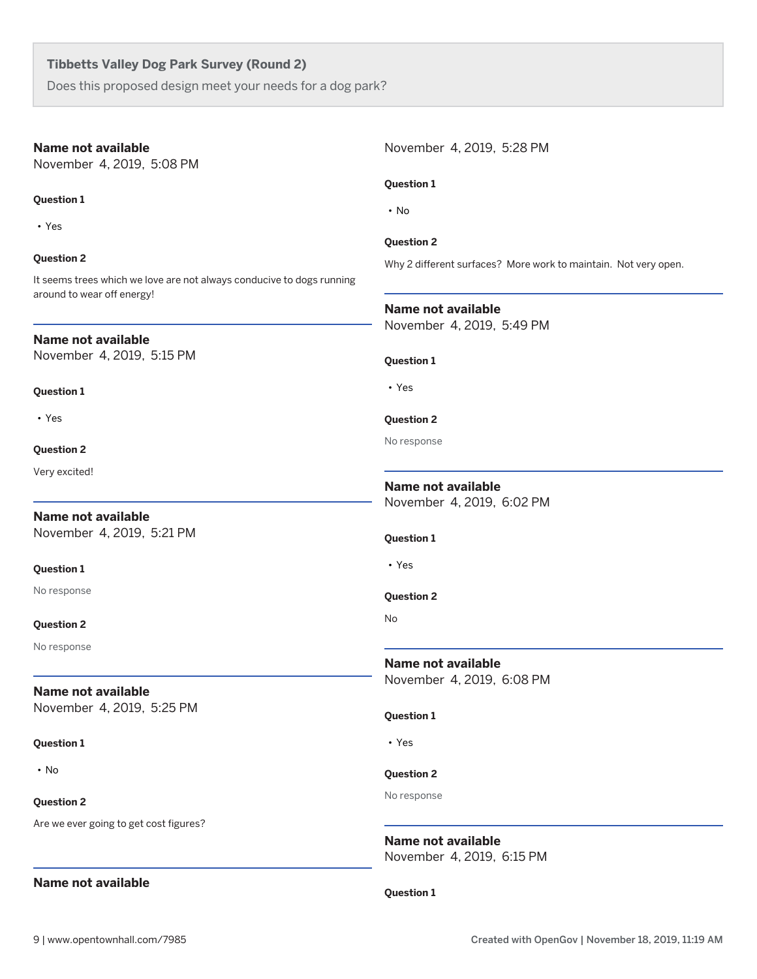Does this proposed design meet your needs for a dog park?

### **Name not available**

November 4, 2019, 5:08 PM

#### **Question 1**

• Yes

### **Question 2**

It seems trees which we love are not always conducive to dogs running around to wear off energy!

#### **Name not available**

November 4, 2019, 5:15 PM

#### **Question 1**

• Yes

#### **Question 2**

Very excited!

## **Name not available** November 4, 2019, 5:21 PM

#### **Question 1**

No response

#### **Question 2**

No response

## **Name not available**

November 4, 2019, 5:25 PM

#### **Question 1**

• No

#### **Question 2**

Are we ever going to get cost figures?

## **Name not available**

November 4, 2019, 5:28 PM **Question 1** • No **Question 2** Why 2 different surfaces? More work to maintain. Not very open. **Name not available** November 4, 2019, 5:49 PM **Question 1** • Yes **Question 2** No response **Name not available** November 4, 2019, 6:02 PM **Question 1** • Yes **Question 2** No **Name not available** November 4, 2019, 6:08 PM **Question 1** • Yes **Question 2** No response

**Name not available** November 4, 2019, 6:15 PM

#### **Question 1**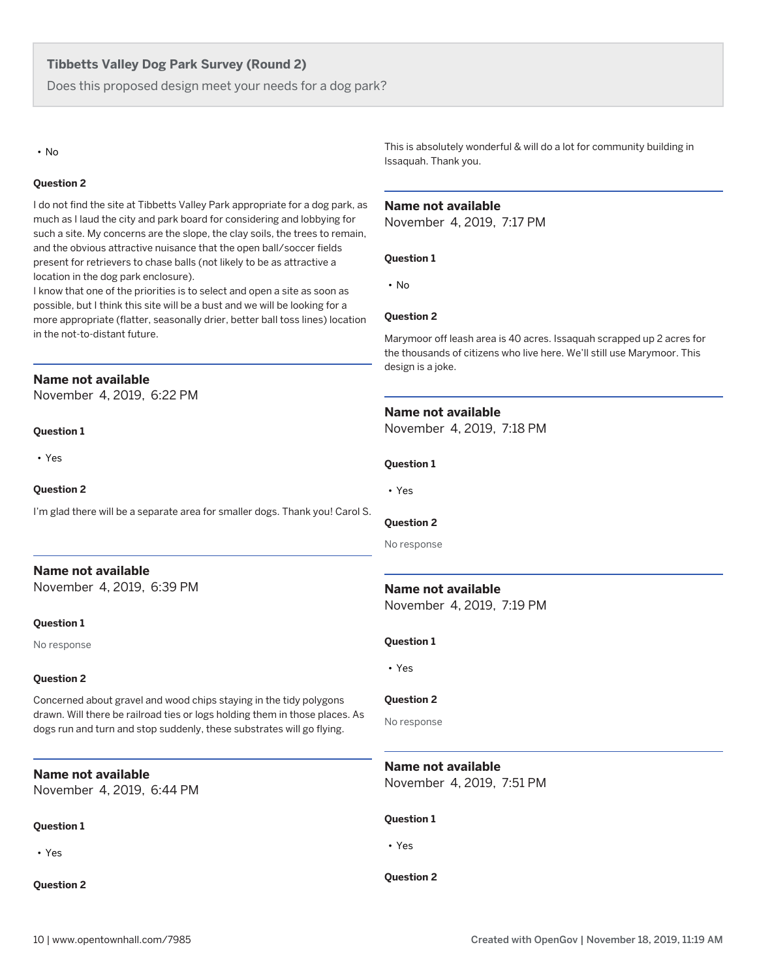Does this proposed design meet your needs for a dog park?

#### • No

#### **Question 2**

I do not find the site at Tibbetts Valley Park appropriate for a dog park, as much as I laud the city and park board for considering and lobbying for such a site. My concerns are the slope, the clay soils, the trees to remain, and the obvious attractive nuisance that the open ball/soccer fields present for retrievers to chase balls (not likely to be as attractive a location in the dog park enclosure).

I know that one of the priorities is to select and open a site as soon as possible, but I think this site will be a bust and we will be looking for a more appropriate (flatter, seasonally drier, better ball toss lines) location in the not-to-distant future.

## **Name not available**

November 4, 2019, 6:22 PM

#### **Question 1**

• Yes

#### **Question 2**

I'm glad there will be a separate area for smaller dogs. Thank you! Carol S.

## **Name not available**

November 4, 2019, 6:39 PM

#### **Question 1**

No response

#### **Question 2**

Concerned about gravel and wood chips staying in the tidy polygons drawn. Will there be railroad ties or logs holding them in those places. As dogs run and turn and stop suddenly, these substrates will go flying.

## **Name not available**

November 4, 2019, 6:44 PM

#### **Question 1**

• Yes

#### **Question 2**

This is absolutely wonderful & will do a lot for community building in Issaquah. Thank you.

#### **Name not available**

November 4, 2019, 7:17 PM

#### **Question 1**

• No

#### **Question 2**

Marymoor off leash area is 40 acres. Issaquah scrapped up 2 acres for the thousands of citizens who live here. We'll still use Marymoor. This design is a joke.

#### **Name not available**

November 4, 2019, 7:18 PM

#### **Question 1**

• Yes

#### **Question 2**

No response

#### **Name not available**

November 4, 2019, 7:19 PM

#### **Question 1**

• Yes

#### **Question 2**

No response

## **Name not available**

November 4, 2019, 7:51 PM

#### **Question 1**

• Yes

#### **Question 2**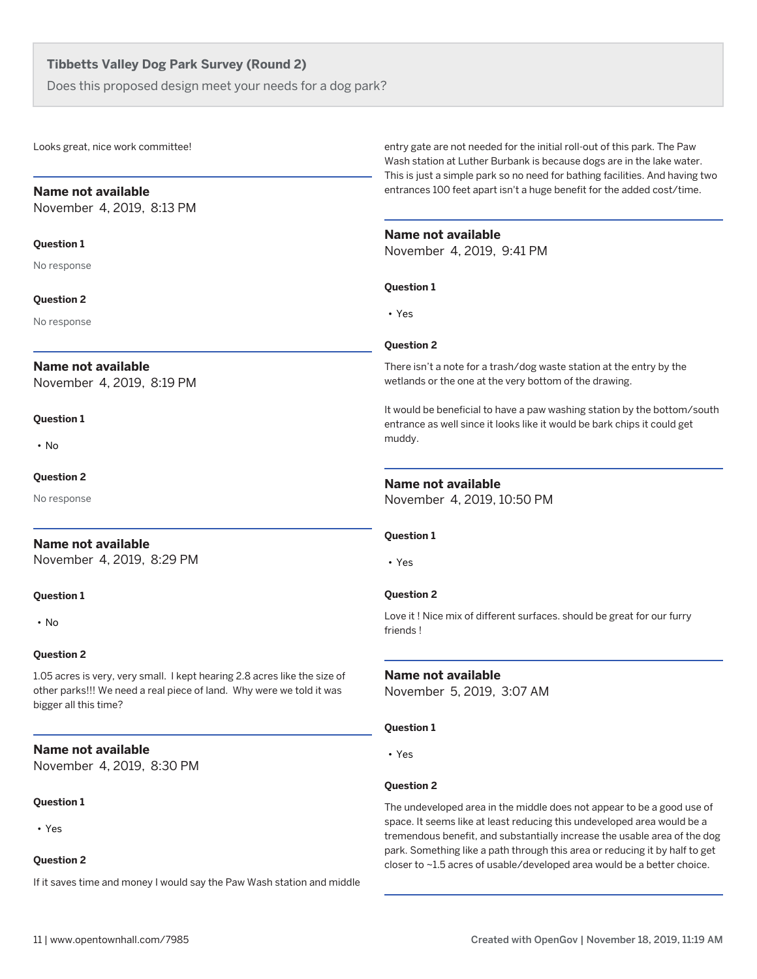Does this proposed design meet your needs for a dog park?

Looks great, nice work committee!

#### **Name not available**

November 4, 2019, 8:13 PM

#### **Question 1**

No response

#### **Question 2**

No response

## **Name not available**

November 4, 2019, 8:19 PM

#### **Question 1**

• No

#### **Question 2**

No response

## **Name not available**

November 4, 2019, 8:29 PM

#### **Question 1**

• No

#### **Question 2**

1.05 acres is very, very small. I kept hearing 2.8 acres like the size of other parks!!! We need a real piece of land. Why were we told it was bigger all this time?

## **Name not available**

November 4, 2019, 8:30 PM

#### **Question 1**

• Yes

#### **Question 2**

If it saves time and money I would say the Paw Wash station and middle

entry gate are not needed for the initial roll-out of this park. The Paw Wash station at Luther Burbank is because dogs are in the lake water. This is just a simple park so no need for bathing facilities. And having two entrances 100 feet apart isn't a huge benefit for the added cost/time.

#### **Name not available**

November 4, 2019, 9:41 PM

#### **Question 1**

• Yes

#### **Question 2**

There isn't a note for a trash/dog waste station at the entry by the wetlands or the one at the very bottom of the drawing.

It would be beneficial to have a paw washing station by the bottom/south entrance as well since it looks like it would be bark chips it could get muddy.

#### **Name not available**

November 4, 2019, 10:50 PM

#### **Question 1**

• Yes

#### **Question 2**

Love it ! Nice mix of different surfaces. should be great for our furry friends !

#### **Name not available**

November 5, 2019, 3:07 AM

#### **Question 1**

• Yes

#### **Question 2**

The undeveloped area in the middle does not appear to be a good use of space. It seems like at least reducing this undeveloped area would be a tremendous benefit, and substantially increase the usable area of the dog park. Something like a path through this area or reducing it by half to get closer to ~1.5 acres of usable/developed area would be a better choice.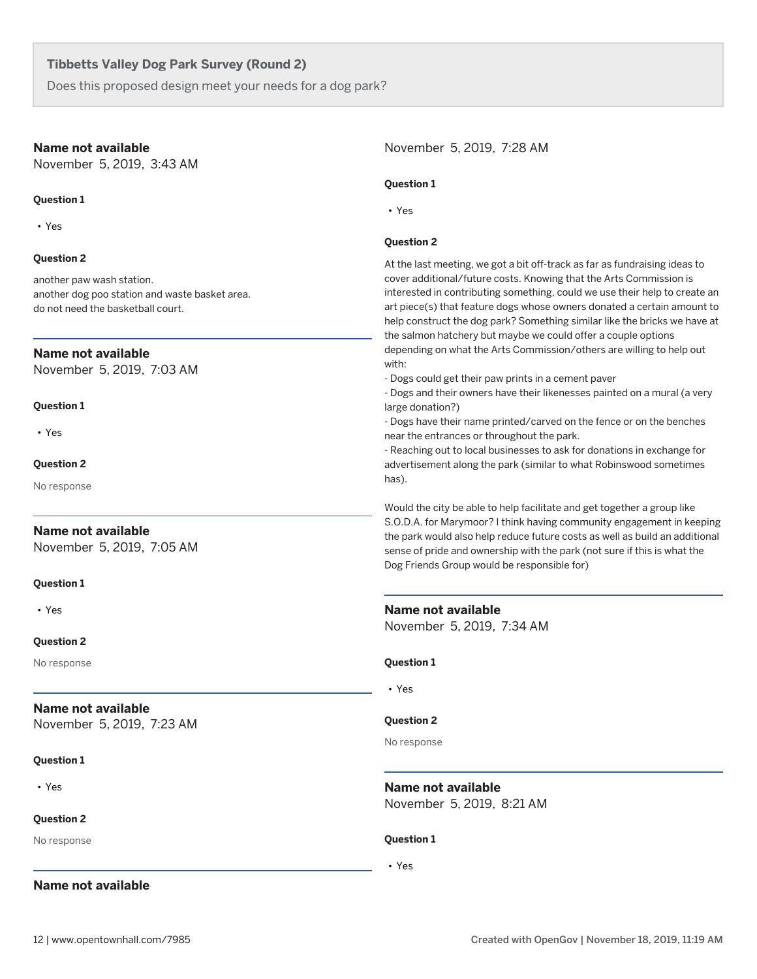Does this proposed design meet your needs for a dog park?

#### **Name not available**

November 5, 2019, 3:43 AM

#### **Question 1**

• Yes

#### **Question 2**

another paw wash station. another dog poo station and waste basket area. do not need the basketball court.

#### **Name not available**

November 5, 2019, 7:03 AM

#### **Question 1**

• Yes

#### **Question 2**

No response

## **Name not available**

November 5, 2019, 7:05 AM

#### **Question 1**

• Yes

#### **Question 2**

No response

## **Name not available**

November 5, 2019, 7:23 AM

#### **Question 1**

• Yes

## **Question 2**

No response

## **Name not available**

November 5, 2019, 7:28 AM

#### **Question 1**

• Yes

#### **Question 2**

At the last meeting, we got a bit off-track as far as fundraising ideas to cover additional/future costs. Knowing that the Arts Commission is interested in contributing something, could we use their help to create an art piece(s) that feature dogs whose owners donated a certain amount to help construct the dog park? Something similar like the bricks we have at the salmon hatchery but maybe we could offer a couple options depending on what the Arts Commission/others are willing to help out with:

- Dogs could get their paw prints in a cement paver

- Dogs and their owners have their likenesses painted on a mural (a very large donation?)

- Dogs have their name printed/carved on the fence or on the benches near the entrances or throughout the park.

- Reaching out to local businesses to ask for donations in exchange for advertisement along the park (similar to what Robinswood sometimes has).

Would the city be able to help facilitate and get together a group like S.O.D.A. for Marymoor? I think having community engagement in keeping the park would also help reduce future costs as well as build an additional sense of pride and ownership with the park (not sure if this is what the Dog Friends Group would be responsible for)

#### **Name not available**

November 5, 2019, 7:34 AM

#### **Question 1**

• Yes

#### **Question 2**

No response

**Name not available**

November 5, 2019, 8:21 AM

#### **Question 1**

• Yes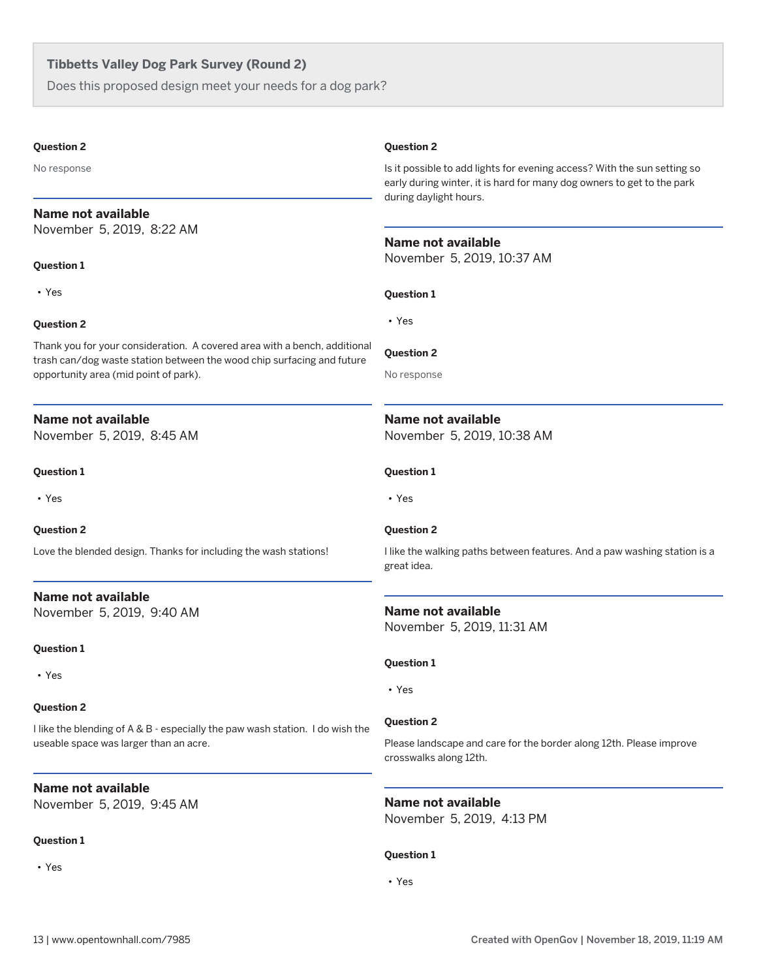Does this proposed design meet your needs for a dog park?

#### **Question 2**

No response

## **Name not available**

November 5, 2019, 8:22 AM

#### **Question 1**

• Yes

#### **Question 2**

Thank you for your consideration. A covered area with a bench, additional trash can/dog waste station between the wood chip surfacing and future opportunity area (mid point of park).

## **Name not available**

November 5, 2019, 8:45 AM

#### **Question 1**

• Yes

#### **Question 2**

Love the blended design. Thanks for including the wash stations!

**Name not available** November 5, 2019, 9:40 AM

#### **Question 1**

• Yes

## **Question 2**

I like the blending of A & B - especially the paw wash station. I do wish the useable space was larger than an acre.

## **Name not available**

November 5, 2019, 9:45 AM

## **Question 1**

• Yes

#### **Question 2**

Is it possible to add lights for evening access? With the sun setting so early during winter, it is hard for many dog owners to get to the park during daylight hours.

### **Name not available**

November 5, 2019, 10:37 AM

#### **Question 1**

• Yes

#### **Question 2**

No response

## **Name not available**

November 5, 2019, 10:38 AM

#### **Question 1**

• Yes

## **Question 2**

I like the walking paths between features. And a paw washing station is a great idea.

## **Name not available** November 5, 2019, 11:31 AM

#### **Question 1**

• Yes

#### **Question 2**

Please landscape and care for the border along 12th. Please improve crosswalks along 12th.

**Name not available** November 5, 2019, 4:13 PM

## **Question 1**

• Yes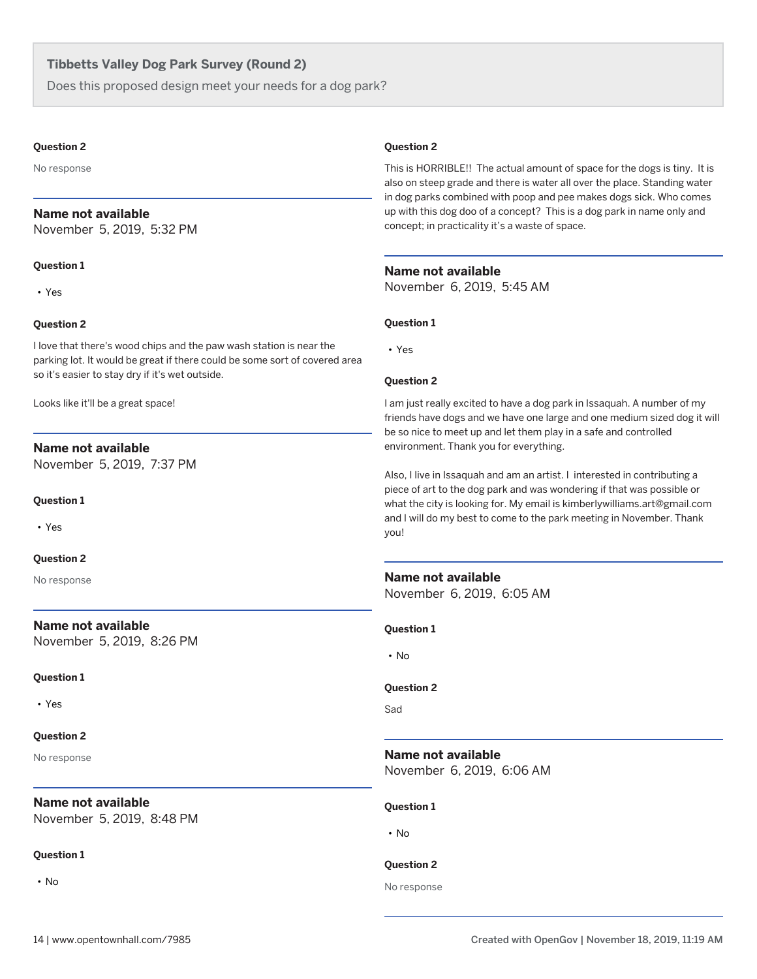Does this proposed design meet your needs for a dog park?

#### **Question 2**

No response

#### **Name not available**

November 5, 2019, 5:32 PM

#### **Question 1**

• Yes

#### **Question 2**

I love that there's wood chips and the paw wash station is near the parking lot. It would be great if there could be some sort of covered area so it's easier to stay dry if it's wet outside.

Looks like it'll be a great space!

## **Name not available**

November 5, 2019, 7:37 PM

#### **Question 1**

• Yes

#### **Question 2**

No response

#### **Name not available**

November 5, 2019, 8:26 PM

#### **Question 1**

• Yes

#### **Question 2**

No response

## **Name not available**

November 5, 2019, 8:48 PM

## **Question 1**

• No

#### **Question 2**

This is HORRIBLE!! The actual amount of space for the dogs is tiny. It is also on steep grade and there is water all over the place. Standing water in dog parks combined with poop and pee makes dogs sick. Who comes up with this dog doo of a concept? This is a dog park in name only and concept; in practicality it's a waste of space.

#### **Name not available**

November 6, 2019, 5:45 AM

#### **Question 1**

• Yes

#### **Question 2**

I am just really excited to have a dog park in Issaquah. A number of my friends have dogs and we have one large and one medium sized dog it will be so nice to meet up and let them play in a safe and controlled environment. Thank you for everything.

Also, I live in Issaquah and am an artist. I interested in contributing a piece of art to the dog park and was wondering if that was possible or what the city is looking for. My email is kimberlywilliams.art@gmail.com and I will do my best to come to the park meeting in November. Thank you!

## **Name not available**

November 6, 2019, 6:05 AM

**Question 1**

• No

#### **Question 2**

Sad

## **Name not available**

November 6, 2019, 6:06 AM

#### **Question 1**

• No

#### **Question 2**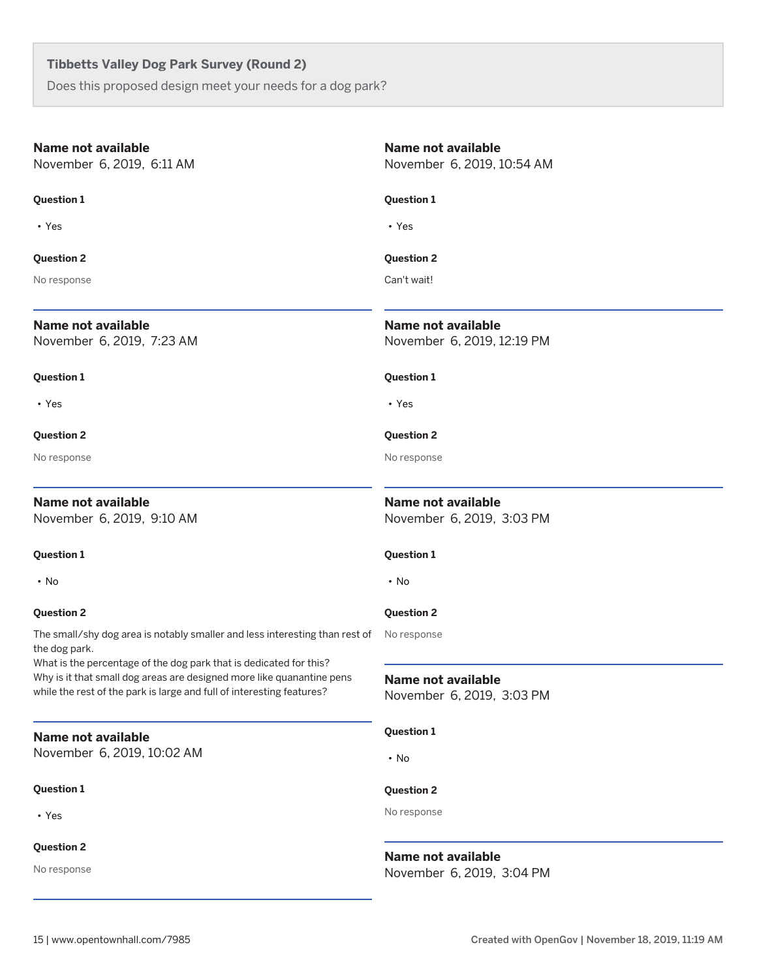Does this proposed design meet your needs for a dog park?

| <b>Name not available</b><br>November 6, 2019, 6:11 AM                                                                                                                                                               | <b>Name not available</b><br>November 6, 2019, 10:54 AM |
|----------------------------------------------------------------------------------------------------------------------------------------------------------------------------------------------------------------------|---------------------------------------------------------|
| <b>Question 1</b>                                                                                                                                                                                                    | <b>Question 1</b>                                       |
| $\cdot$ Yes                                                                                                                                                                                                          | • Yes                                                   |
| <b>Question 2</b>                                                                                                                                                                                                    | <b>Question 2</b>                                       |
| No response                                                                                                                                                                                                          | Can't wait!                                             |
| Name not available<br>November 6, 2019, 7:23 AM                                                                                                                                                                      | Name not available<br>November 6, 2019, 12:19 PM        |
| <b>Question 1</b>                                                                                                                                                                                                    | <b>Question 1</b>                                       |
| $\cdot$ Yes                                                                                                                                                                                                          | • Yes                                                   |
| <b>Question 2</b>                                                                                                                                                                                                    | <b>Question 2</b>                                       |
| No response                                                                                                                                                                                                          | No response                                             |
| <b>Name not available</b><br>November 6, 2019, 9:10 AM                                                                                                                                                               | <b>Name not available</b><br>November 6, 2019, 3:03 PM  |
| <b>Question 1</b>                                                                                                                                                                                                    | <b>Question 1</b>                                       |
| $\cdot$ No                                                                                                                                                                                                           | • No                                                    |
| <b>Question 2</b>                                                                                                                                                                                                    | <b>Question 2</b>                                       |
| The small/shy dog area is notably smaller and less interesting than rest of<br>the dog park.                                                                                                                         | No response                                             |
| What is the percentage of the dog park that is dedicated for this?<br>Why is it that small dog areas are designed more like quanantine pens<br>while the rest of the park is large and full of interesting features? | Name not available<br>November 6, 2019, 3:03 PM         |
| <b>Name not available</b>                                                                                                                                                                                            | <b>Question 1</b>                                       |
| November 6, 2019, 10:02 AM                                                                                                                                                                                           | $\cdot$ No                                              |
| <b>Question 1</b>                                                                                                                                                                                                    | <b>Question 2</b>                                       |
| • Yes                                                                                                                                                                                                                | No response                                             |
| <b>Question 2</b>                                                                                                                                                                                                    | <b>Name not available</b>                               |
| No response                                                                                                                                                                                                          | November 6, 2019, 3:04 PM                               |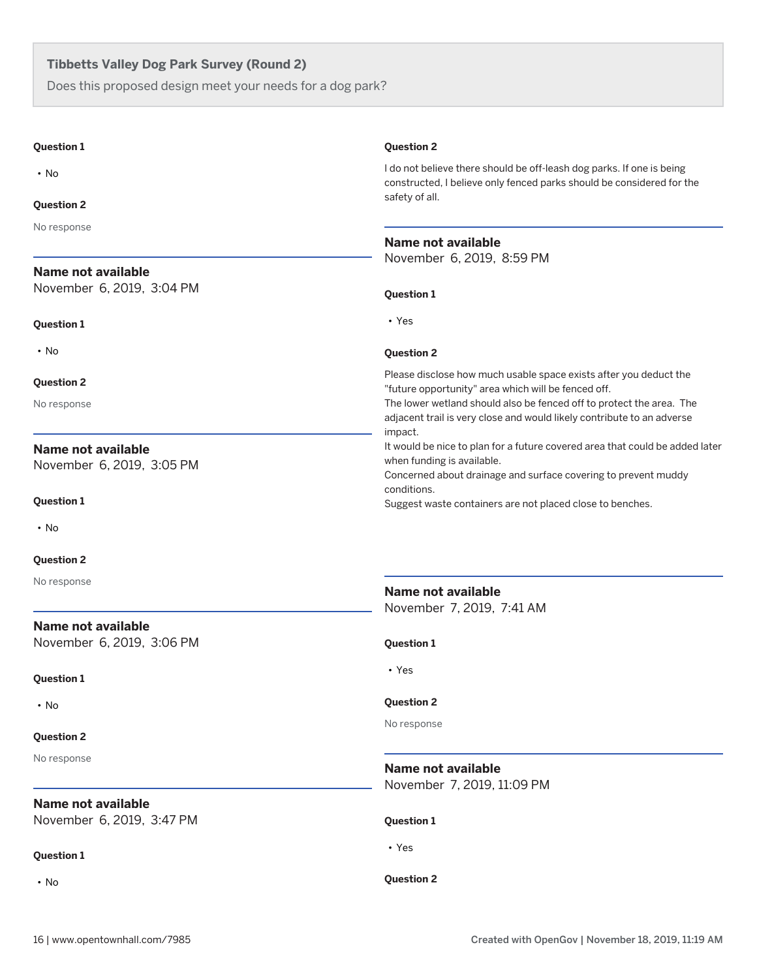Does this proposed design meet your needs for a dog park?

| <b>Question 1</b>         | <b>Question 2</b>                                                                                                                                                                                                |
|---------------------------|------------------------------------------------------------------------------------------------------------------------------------------------------------------------------------------------------------------|
| $\cdot$ No                | I do not believe there should be off-leash dog parks. If one is being<br>constructed, I believe only fenced parks should be considered for the                                                                   |
| <b>Question 2</b>         | safety of all.                                                                                                                                                                                                   |
| No response               |                                                                                                                                                                                                                  |
|                           | <b>Name not available</b>                                                                                                                                                                                        |
| Name not available        | November 6, 2019, 8:59 PM                                                                                                                                                                                        |
| November 6, 2019, 3:04 PM | <b>Question 1</b>                                                                                                                                                                                                |
| <b>Question 1</b>         | • Yes                                                                                                                                                                                                            |
| $\cdot$ No                | <b>Question 2</b>                                                                                                                                                                                                |
| <b>Question 2</b>         | Please disclose how much usable space exists after you deduct the                                                                                                                                                |
| No response               | "future opportunity" area which will be fenced off.<br>The lower wetland should also be fenced off to protect the area. The<br>adjacent trail is very close and would likely contribute to an adverse<br>impact. |
| <b>Name not available</b> | It would be nice to plan for a future covered area that could be added later                                                                                                                                     |
| November 6, 2019, 3:05 PM | when funding is available.<br>Concerned about drainage and surface covering to prevent muddy                                                                                                                     |
| <b>Question 1</b>         | conditions.<br>Suggest waste containers are not placed close to benches.                                                                                                                                         |
| $\cdot$ No                |                                                                                                                                                                                                                  |
| <b>Question 2</b>         |                                                                                                                                                                                                                  |
| No response               | Name not available<br>November 7, 2019, 7:41 AM                                                                                                                                                                  |
| Name not available        |                                                                                                                                                                                                                  |
| November 6, 2019, 3:06 PM | <b>Question 1</b>                                                                                                                                                                                                |
| <b>Question 1</b>         | $\cdot$ Yes                                                                                                                                                                                                      |
| $\cdot$ No                | <b>Question 2</b>                                                                                                                                                                                                |
| <b>Question 2</b>         | No response                                                                                                                                                                                                      |
| No response               |                                                                                                                                                                                                                  |
|                           | <b>Name not available</b><br>November 7, 2019, 11:09 PM                                                                                                                                                          |
| Name not available        |                                                                                                                                                                                                                  |
| November 6, 2019, 3:47 PM | <b>Question 1</b>                                                                                                                                                                                                |
| <b>Question 1</b>         | • Yes                                                                                                                                                                                                            |
| $\cdot$ No                | <b>Question 2</b>                                                                                                                                                                                                |
|                           |                                                                                                                                                                                                                  |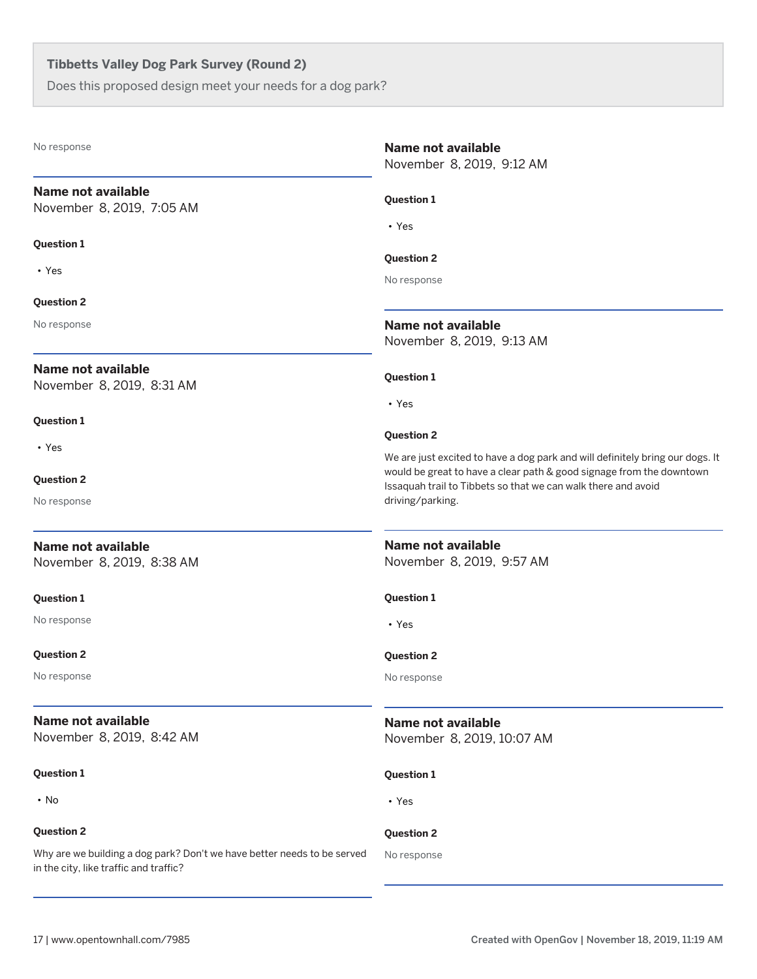Does this proposed design meet your needs for a dog park?

### **Name not available**

November 8, 2019, 7:05 AM

#### **Question 1**

• Yes

#### **Question 2**

No response

#### **Name not available**

November 8, 2019, 8:31 AM

#### **Question 1**

• Yes

#### **Question 2**

No response

## **Name not available**

November 8, 2019, 8:38 AM

#### **Question 1**

No response

#### **Question 2**

No response

## **Name not available**

November 8, 2019, 8:42 AM

#### **Question 1**

• No

#### **Question 2**

Why are we building a dog park? Don't we have better needs to be served in the city, like traffic and traffic?

#### **Name not available**

November 8, 2019, 9:12 AM

#### **Question 1**

• Yes

#### **Question 2**

No response

**Name not available** November 8, 2019, 9:13 AM

#### **Question 1**

• Yes

#### **Question 2**

We are just excited to have a dog park and will definitely bring our dogs. It would be great to have a clear path & good signage from the downtown Issaquah trail to Tibbets so that we can walk there and avoid driving/parking.

#### **Name not available**

November 8, 2019, 9:57 AM

#### **Question 1**

• Yes

#### **Question 2**

No response

## **Name not available**

November 8, 2019, 10:07 AM

#### **Question 1**

• Yes

## **Question 2**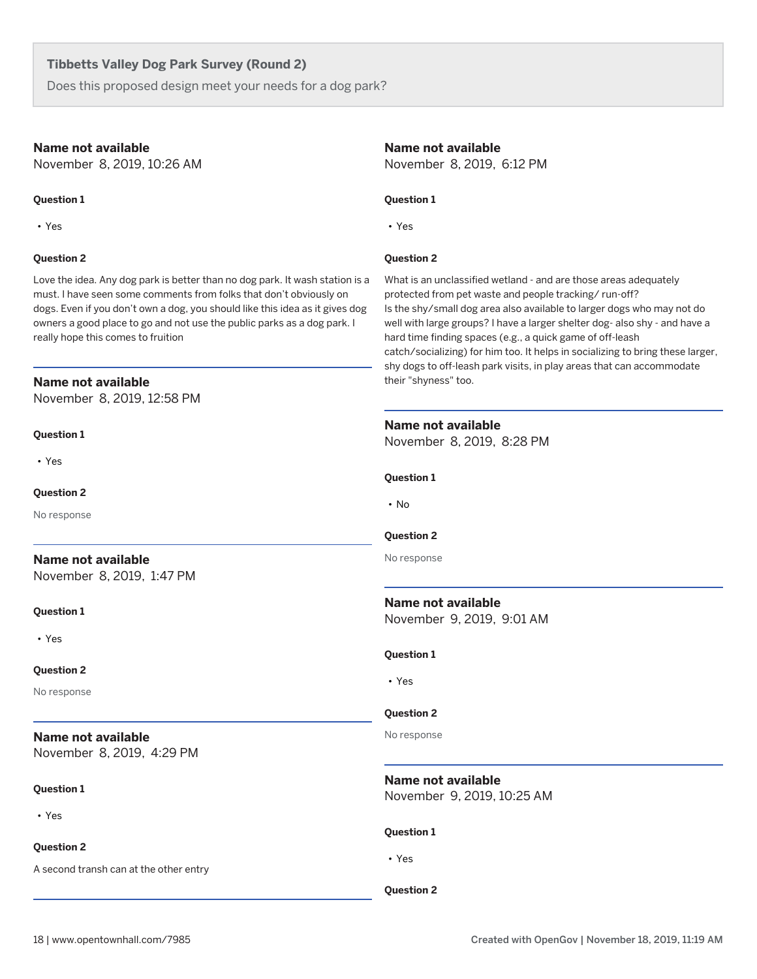Does this proposed design meet your needs for a dog park?

#### **Name not available**

November 8, 2019, 10:26 AM

#### **Question 1**

• Yes

#### **Question 2**

Love the idea. Any dog park is better than no dog park. It wash station is a must. I have seen some comments from folks that don't obviously on dogs. Even if you don't own a dog, you should like this idea as it gives dog owners a good place to go and not use the public parks as a dog park. I really hope this comes to fruition

#### **Name not available**

November 8, 2019, 12:58 PM

#### **Question 1**

• Yes

#### **Question 2**

No response

## **Name not available**

November 8, 2019, 1:47 PM

#### **Question 1**

• Yes

#### **Question 2**

No response

## **Name not available**

November 8, 2019, 4:29 PM

#### **Question 1**

• Yes

#### **Question 2**

A second transh can at the other entry

#### **Name not available**

November 8, 2019, 6:12 PM

#### **Question 1**

• Yes

#### **Question 2**

What is an unclassified wetland - and are those areas adequately protected from pet waste and people tracking/ run-off? Is the shy/small dog area also available to larger dogs who may not do well with large groups? I have a larger shelter dog- also shy - and have a hard time finding spaces (e.g., a quick game of off-leash catch/socializing) for him too. It helps in socializing to bring these larger, shy dogs to off-leash park visits, in play areas that can accommodate their "shyness" too.

#### **Name not available**

November 8, 2019, 8:28 PM

**Question 1**

• No

#### **Question 2**

No response

## **Name not available**

November 9, 2019, 9:01 AM

#### **Question 1**

• Yes

#### **Question 2**

No response

## **Name not available**

November 9, 2019, 10:25 AM

#### **Question 1**

• Yes

#### **Question 2**